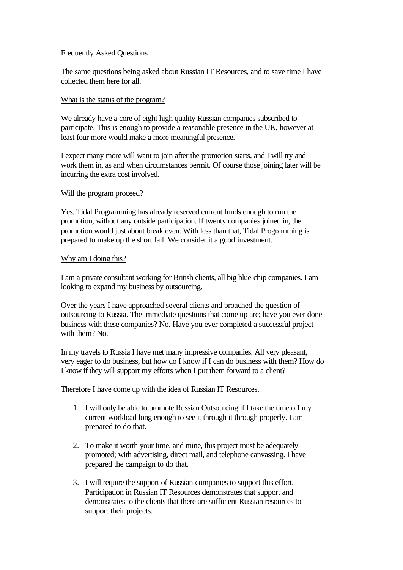# Frequently Asked Questions

The same questions being asked about Russian IT Resources, and to save time I have collected them here for all.

### What is the status of the program?

We already have a core of eight high quality Russian companies subscribed to participate. This is enough to provide a reasonable presence in the UK, however at least four more would make a more meaningful presence.

I expect many more will want to join after the promotion starts, and I will try and work them in, as and when circumstances permit. Of course those joining later will be incurring the extra cost involved.

## Will the program proceed?

Yes, Tidal Programming has already reserved current funds enough to run the promotion, without any outside participation. If twenty companies joined in, the promotion would just about break even. With less than that, Tidal Programming is prepared to make up the short fall. We consider it a good investment.

## Why am I doing this?

I am a private consultant working for British clients, all big blue chip companies. I am looking to expand my business by outsourcing.

Over the years I have approached several clients and broached the question of outsourcing to Russia. The immediate questions that come up are; have you ever done business with these companies? No. Have you ever completed a successful project with them? No.

In my travels to Russia I have met many impressive companies. All very pleasant, very eager to do business, but how do I know if I can do business with them? How do I know if they will support my efforts when I put them forward to a client?

Therefore I have come up with the idea of Russian IT Resources.

- 1. I will only be able to promote Russian Outsourcing if I take the time off my current workload long enough to see it through it through properly. I am prepared to do that.
- 2. To make it worth your time, and mine, this project must be adequately promoted; with advertising, direct mail, and telephone canvassing. I have prepared the campaign to do that.
- 3. I will require the support of Russian companies to support this effort. Participation in Russian IT Resources demonstrates that support and demonstrates to the clients that there are sufficient Russian resources to support their projects.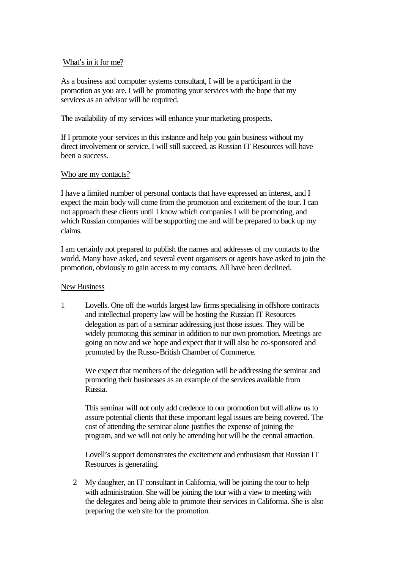# What's in it for me?

As a business and computer systems consultant, I will be a participant in the promotion as you are. I will be promoting your services with the hope that my services as an advisor will be required.

The availability of my services will enhance your marketing prospects.

If I promote your services in this instance and help you gain business without my direct involvement or service, I will still succeed, as Russian IT Resources will have been a success.

## Who are my contacts?

I have a limited number of personal contacts that have expressed an interest, and I expect the main body will come from the promotion and excitement of the tour. I can not approach these clients until I know which companies I will be promoting, and which Russian companies will be supporting me and will be prepared to back up my claims.

I am certainly not prepared to publish the names and addresses of my contacts to the world. Many have asked, and several event organisers or agents have asked to join the promotion, obviously to gain access to my contacts. All have been declined.

#### New Business

1 Lovells. One off the worlds largest law firms specialising in offshore contracts and intellectual property law will be hosting the Russian IT Resources delegation as part of a seminar addressing just those issues. They will be widely promoting this seminar in addition to our own promotion. Meetings are going on now and we hope and expect that it will also be co-sponsored and promoted by the Russo-British Chamber of Commerce.

We expect that members of the delegation will be addressing the seminar and promoting their businesses as an example of the services available from Russia.

This seminar will not only add credence to our promotion but will allow us to assure potential clients that these important legal issues are being covered. The cost of attending the seminar alone justifies the expense of joining the program, and we will not only be attending but will be the central attraction.

Lovell's support demonstrates the excitement and enthusiasm that Russian IT Resources is generating.

2 My daughter, an IT consultant in California, will be joining the tour to help with administration. She will be joining the tour with a view to meeting with the delegates and being able to promote their services in California. She is also preparing the web site for the promotion.